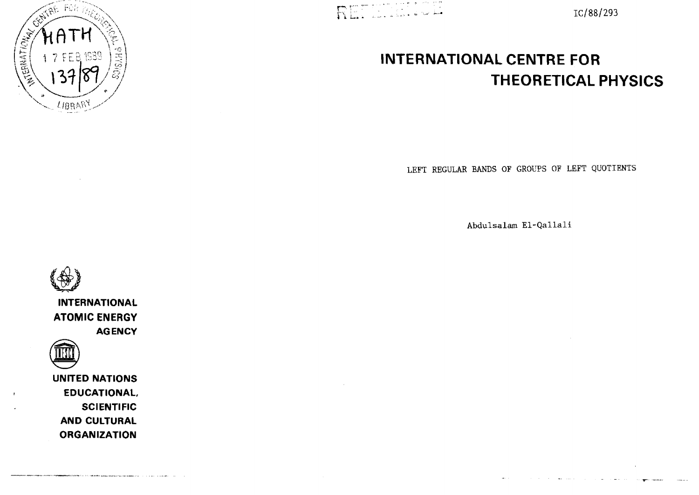

IC/88/293

# **INTERNATIONAL CENTRE FOR THEORETICAL PHYSICS**

LEFT REGULAR BANDS OF GROUPS OF LEFT QUOTIENTS

Abdulsalam El-Qallali



 $\ddot{\tau}$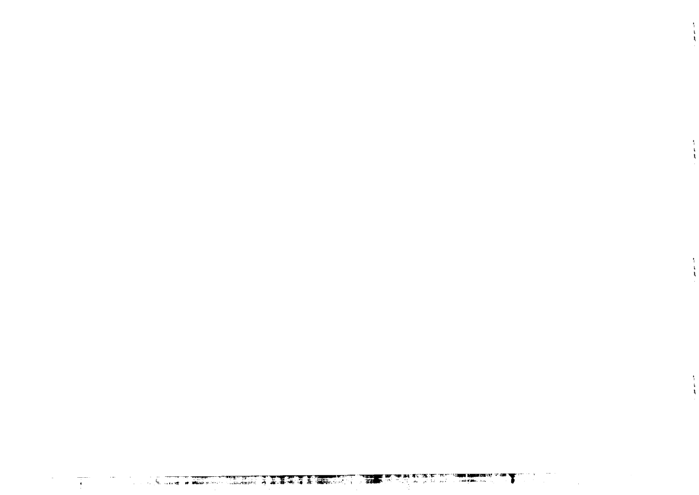$\Lambda$  $\Lambda$  $\mathbf{I}$ 

小  $\mathbf{I}$ 

A.

 $\Lambda$  $\Lambda$  $\mathbf{I}_i$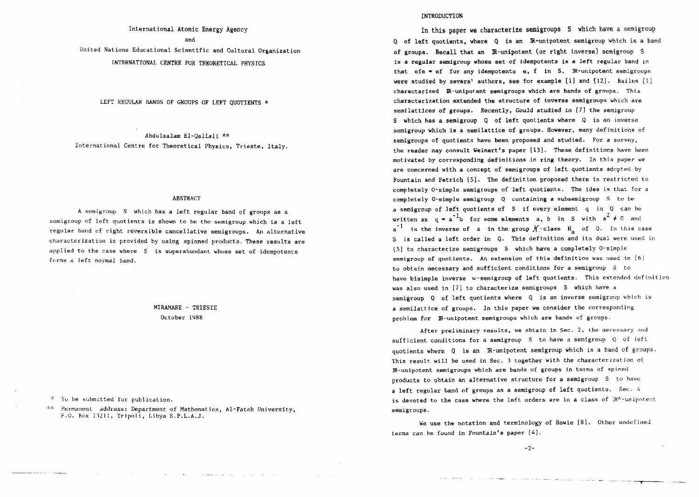## International Atomic Energy Agency and United Nations Educational Scientific and Cultural Organization

### INTERNATIONAL CENTRE FOR THEORETICAL PHYSICS

LEFT REGULAR BANDS OF GROUPS OF LEFT QUOTIENTS  $*$ 

Abdulsalam El-Qallali \*\* International Centre for Theoretical Physics, Trieste, Italy.

### ABSTRACT

A semigroup S which has a left regular band of groups as a semigroup of left quotients is shown to be the semigroup which is a left regular band of right reversible cancellative semigroups. An alternative characterization is provided by using spinned products. These results are applied to the case where S is superabundant whose set of idempotents forms a left normal band.

> MIRAHARE - TRIESTE October 1988

\* To be submitted for publication.

Permanent address: Department of Mathematics, Al-Fateh University, P.O. Box 13211, Tripoli, Libya S.P.L.A.J.

a series de la construcción de la construcción de la construcción de la construcción de la construcción de la

### INTRODUCTION

In this paper we characterize semigroups S which have a semigroup Q of left quotients, where Q is an IR-unipotent semigroup which is a band of groups. Recall that an IR-unipotent (or right inverse) semigroup S is a regular semigroup whose set of idempotents is a left regular band in that efe = ef for any idempotents e, f in S,  $\mathbb R$ -unipotent semigroups were studied by severa<sup>1</sup> authors, see for example  $[1]$  and  $[12]$ , Bailes  $[1]$ characterized R-unipotent semigroups which are bands of groups. This characterization extended the structure of inverse semigroups which are semilattices of groups. Recently, Gould studied in [7] the semigroup S which has a semigroup Q of left quotients where Q is an inverse semigroup which is a semilattice of groups. However, many definitions of semigroups of quotients have been proposed and studied. For a survey, the reader may consult Weinert's paper [13]. These definitions have been motivated by corresponding definitions in ring theory. In this paper we are concerned with a concept of semigroups of left quotients adopted by Fountain and Petrich [51. The definition proposed there is restricted to completely O-simple semigroups of left quotients. The idea is that for a completely O-simple semigroup Q containing a subsemigroup S to be a semigroup of left quotients of S if every element q in Q can be written as  $q = a^{-1}b$  for some elements a, b in S with  $a^2 \neq 0$  and  $a^{-1}$  is the inverse of a in the group  $f$ -class H<sub>2</sub> of Q. In this case S is called a left order in Q. This definition and its dual were used in (5j to characterize semigroups S which have a completely O-simple. semigroup of quotients. An extension of this definition was used in [6] to obtain necessary and sufficient conditions for a semigroup S to have bisimple inverse w-semigroup of left quotients. This extended definition was also used in [7] to characterize semigroups S which have a semigroup Q of left quotients where Q is an inverse semigroup which is a semilattice of groups. In this paper we consider the corresponding problem for IR-unipotent semigroups which are bands of groups.

After preliminary results, we obtain in Sec. 2, the necessary and sufficient conditions for a semigroup S to have a semigroup Q of left quotients where Q is an IR-unipotent semigroup which is a band of groups. This result will be used in Sec. 3 together with the characterization of IR-unipotent semigroups which are bands of groups in terms of spined products to obtain an alternative structure for a semigroup S to have a left regular band of groups as a semigroup of left quotients. Sec. 4 is devoted to the case where the left orders are in a class of  $\mathbb{R}^*$ -unipotent semigroups.

We use the notation and terminology of Howie [8]. Other undefined terms can be found in Fountain's paper [4].

-2-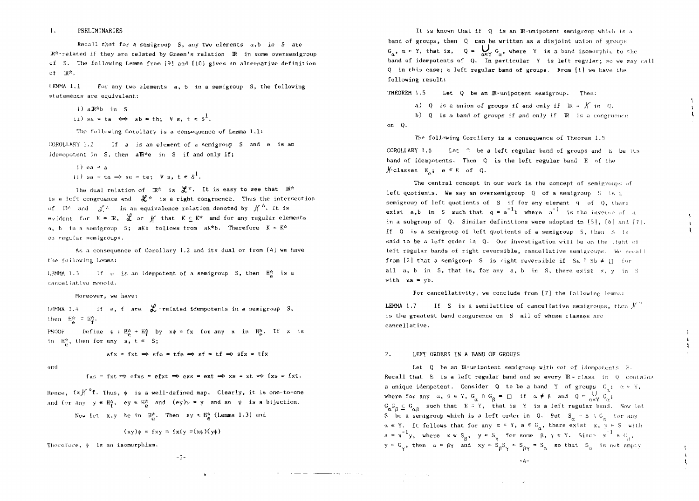### 1. PRELIMINARIES

Recall that for a semigroup  $S$ , any two elements  $a,b$  in  $S$  are  $\mathbb{R}^*$ -related if they are related by Green's relation  $\mathbb{R}$  in some oversemigroup of S. The following Lemma from [91 and [10] gives an alternative definition of IR\*.

 $I.$ EMMA 1.1 For any two elements  $a, b$  in a semigroup S, the following siatements are equivalent:

```
i ) aIR*b in S
ii) sa = ta \Leftrightarrow sh = tb; V s, t e S<sup>1</sup>.
```
The following Corollary is a consequence of Lemma l.li

COROLLARY 1.2 If a is an element of a semigroup S and e is an idemopotent in S, then  $a\mathbb{R}^*e$  in S if and only if;

 $i)$  ea = a ii) sa  $\pi$  ta  $\Rightarrow$  se = te; V s, t  $\epsilon$  s<sup>1</sup>.

The dual relation of  $\mathbb{R}^k$  is  $\mathcal{L}^k$ . It is easy to see that  $\mathbb{R}^k$ is a left congruence and  $\mathscr{L}^*$  is a right congruence. Thus the intersection of  $\mathbb{R}^*$  and  $\mathscr{L}^*$  is an equivalence relation denoted by  $\oint^*$ . It is evident for  $K = \mathbb{R}$ ,  $\oint$  or  $\oint$  that  $K \subseteq K^*$  and for any regular elements a, b in a semigroup S; aKb follows from  $aK^*b$ . Therefore  $K = K^*$ on regular semigroups.

As a consequence of Corollary 1.2 and its dual or from [4] we have the following Lemma:

LEMMA 1.3 If e is an idempotent of a semigroup S, then  $H_2^k$  is a cancellative monoid.

Moreover, we have:

LEMMA 1.4 If e, f are  $\chi$  -related idempotents in a semigroup S, then  $H^k_\lambda = H^k_\mu$ .

PROOF Define  $\psi$  : H\* - H\* by  $x\psi = f x$  for any x in H\*. If x is in  $\mathbb{H}_{\alpha}^{k}$ , then for any  $s_{k}$ ,  $t \in S_{k}$ 

sfx = fxt  $\Rightarrow$  sfe = tfe  $\Rightarrow$  sf  $\approx$  tf  $\Rightarrow$  sfx = tfx

.md

 $fxs = fxt \Rightarrow efxs = efxt \Rightarrow exs = ext \Rightarrow xs = xt \Rightarrow fxs = fxt.$ 

Hence,  $\{x\}$ <sup>\*</sup>f. Thus,  $\psi$  is a well-defined map. Clearly, it is one-to-one and for any  $y \in H_F^k$ , ey  $\in H_A^k$  and  $(ey)\psi = y$  and so  $\psi$  is a bijection.

Now let  $x, y$  be in  $H_x^k$ . Then  $xy \in H_x^k$  (Lemma 1.3) and

 $(xy)\psi = fxy = fxfy = (x\psi)(y\psi)$ 

 $\sim 10^{-1}$ 

Therefore,  $\psi$  is an isomorphism.

-3-

 $\mathbf{r}$  , the state of the property of the properties of the state of the  $\mathbf{r}$ 

It is known that if  $Q$  is an  $\mathbb{R}$ -unipotent semigroup which is a band of groups, then Q can be written as a disjoint union of groups  $G_{\alpha}$ ,  $\alpha \in Y$ , that is,  $Q = \sum_{\alpha \in Y} G_{\alpha}$ , where Y is a band isomorphic to the band of idempotents of Q. In particular Y is left regular; so we may call Q in this case; a left regular band of groups. From [l] we have Lhe following result:

THEOREM  $1.5$  Let Q be an IR-unipotent semigroup. Then:

a) Q is a union of groups if and only if  $\mathbb{R} = \mathcal{H}$  in Q.

b)  $Q$  is a band of groups if and only if  $\mathbb R$  is a congruence on Q.

The following Corollary is a consequence of Theorem 1.5.

COROLLARY 1.6 Let  $\degree$  be a left regular band of groups and E be its band of idempotents. Then Q is the left regular band E of the  $\#$ classes  $H_s$ ; e E of Q.

The central concept in our work is the concept of semigroups of left quotients. We say an oversemigroup  $Q$  of a semigroup S is  $a$ semigroup of left quotients of  $S$  if for any element  $q$  of  $Q$ , there exist  $a, b$  in S such that  $q = a^{-1}b$  where  $a^{-1}$  is the inverse of a in a subgroup of  $\theta$ . Similar definitions were adopted in  $[5]$ ,  $[6]$  and  $[7]$ . If Q is a semigroup of left quotients of a semigroup S, then S is said to be a left order in  $\theta$ . Our investigation will be on the light of left regular bands of right reversible, cancellative semigroups. We recall from [2] that a semigroup S is right reversible if Sa  $\theta$  Sb  $\neq$   $\Box$  for all  $a$ ,  $b$  in  $S$ , that is, for any  $a$ ,  $b$  in  $S$ , there exist  $x$ ,  $y$  in  $S$ with  $xa = yb$ .

For cancellativity, we conclude from [7] the fallowing lemma:

 $\mathbf{1}$ 

LEMMA 1.7 If S is a semilattice of cancellative semigroups, then  $K^{\infty}$ is the greatest band congurence on S all of whose classes are cancellative.

### 2. LEFT ORDERS IN A BAND OF GROUPS

Let  $Q$  be an IR-unipotent semigroup with set of idempotents  $R$ . Recall that  $E$  is a left regular band and so every  $\mathbb{R}$  - class in  $Q$  contains a unique idempotent. Consider Q to be a band Y of groups  $C_n$ ;  $\alpha \in Y$ , where for any  $\alpha$ ,  $\beta \in Y$ ,  $G_{\alpha} \cap G_{\beta} = \Box$  if  $\alpha \neq \beta$  and  $Q = \bigcup_{\alpha \in Y} G_{\alpha}^{\alpha}$ ;  $G_{\alpha}G_{\beta} \subseteq G_{\alpha\beta}$  such that  $E = Y$ , that is Y is a left regular band. Now let. S be a semigroup which is a left order in Q. Put  $S_{\alpha} = S \cap G_{\alpha}$  for any  $\alpha \in Y$ . It follows that for any  $\alpha \in Y$ ,  $a \in G_{\alpha}$ , there exist x,  $y \in S$  with  $a = x^{-1}y$ , where  $x \in S_g$ ,  $y \in S_y$  for some  $\beta$ ,  $\gamma \in Y$ . Since  $x^{-1} \in C_g$ ,  $y \in G_{\gamma}$ , then  $\alpha = \beta \gamma$  and  $xy \in S_{\beta} S_{\gamma} = S_{\beta \gamma} = S_{\alpha}$  so that  $S_{\alpha}$  is not empty

-4-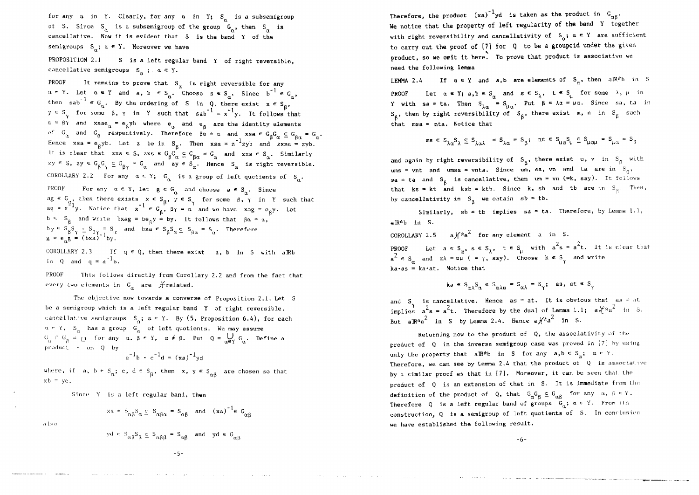for any  $\alpha$  in Y. Clearly, for any  $\alpha$  in Y; S<sub>n</sub> is a subsemigroup of S, Since S<sub>2</sub> is a subsemigroup of the group  $G_{\alpha}$ , then S<sub>2</sub> is cancellative. Now it is evident that S is the band Y of the semigroups  $S$ ;  $\alpha \in Y$ . Moreover we have

PROPOSITION 2.1 S is a left regular band Y of right reversible, cancellative semigroups  $S_n$ ;  $\alpha \in Y$ .

PROOF It remains to prove that  $S_{\alpha}$  is right reversible for any  $\alpha \in Y$ . Let  $\alpha \in Y$  and  $a, b \in S_{\alpha}$ . Choose  $s \in S_{\alpha}$ . Since  $b^{-1} \in G_{\alpha}$ , then sab  $e^{-1} \in G^{\circ}$ . By the ordering of S in Q, there exist  $x \in S^{\circ}$ ,  $y \in S$  for some  $\beta$ ,  $\gamma$  in Y such that sab<sup>-1</sup> =  $x^{-1}y$ . It follows that  $\alpha = \beta \gamma$  and xsae<sub>q</sub> = e<sub>g</sub>yb where e<sub>q</sub> and e<sub>g</sub> are the identity elements  $G_{\alpha}$  and  $G_{\beta}$  respectively. Therefore  $\beta\alpha = \alpha$  and  $x$ sale  $G_{\beta}G_{\alpha} \subseteq G_{\beta\alpha}$  = Hence  $xsa = e_{\beta}yb$ . Let z be in  $S_{\beta}$ . Then  $xsa = z^{-1}zyb$  and  $zxsa = zyb$ . It is clear that zxs  $\epsilon$  S, zxs  $\epsilon$  G<sub>e</sub>C<sub>x</sub>  $\epsilon$  G<sub>ex</sub> = G<sub>e</sub> and zxs  $\epsilon$  S<sub>e</sub>. Similarly zy  $\epsilon$  S, zy  $\epsilon$  G<sub> $\beta$ </sub>  $\zeta$   $\leq$  G<sub>o</sub>  $\beta$  and zy  $\epsilon$  S<sub>a</sub>. Hence S<sub>a</sub> is right reversible. COROLLARY 2.2 For any  $\alpha \leq Y$ ;  $G_{\alpha}$  is a group of left quotients of  $S_{\alpha}$ . PROOF  $\quad$  For any  $\alpha \in$  Y, let  $\quadmathsf{g} \in \mathsf{G}_{\sim}$  and choose  $\quadmathsf{a} \in \mathsf{S}_{\sim}$ . Since  $S_{\beta}$ , ye  $eg_\beta$ ,  $e_1 - \alpha$  and we have  $x \alpha g + e_{\beta} y$ . Het  $ag \in G^{\bullet}_{\alpha}$  , ag = x'<sup>1</sup>y then there exists x Notice that. x  $\bm{\epsilon}$  S for some  $\bm{\beta}$ ,  $\bm{\gamma}$  in Y such that by  $\in S_\alpha S_\infty \subset S_{\alpha,\omega}=S$ by  ${}^{\epsilon}S_{\beta}S_{\gamma} \leq S_{\beta\gamma} = S_{\alpha}$  and bxa  $\epsilon S_{\beta}S_{\alpha} \leq S_{\beta\alpha} = S_{\alpha}$ . Therefore  $g = e_{\alpha}g = (bxa)^{-1}$  by.

COROLLARY 2.3 If  $q \in Q$ , then there exist a, b in S with alRb in Q and  $q = a^{-1}b$ .

PROOF This follows directly from Corollary 2.2 and from the fact that every two elements in  $G_{\alpha}$  are  $\#$ related.

The objective now towards a converse of Proposition 2.1. Let S be a semigroup which is a left regular band Y of right reversible, cancellative semigroups  $S_{\alpha}$ ;  $\alpha \in Y$ . By (5, Proposition 6.4), for each  $\alpha \in Y$ , S<sub>n</sub> has a group G<sub>n</sub> of left quotients. We may assume  $G_{\alpha} \cap G_{\beta} = [j \quad \text{for any} \quad \alpha, \quad \beta \in \Upsilon, \quad \alpha \neq \beta. \quad \text{Put} \quad Q = \bigcup_{\alpha \in V} Q_{\alpha}. \quad \text{Define } \alpha$ product • on Q by

$$
a^{-1}b + c^{-1}d = (xa)^{-1}yd
$$

 $xb = ye.$ where, if a,  $b \in S_{\alpha}$ ; c,  $d \in S_{\beta}$ , then  $x, y \in S_{\alpha\beta}$  are chosen so that

Since Y is a left regular band, then

$$
x\alpha \in S_{\alpha\beta}S_{\alpha} \subseteq S_{\alpha\beta\alpha} = S_{\alpha\beta} \text{ and } (xa)^{-1} \in G_{\alpha\beta}
$$

also

$$
y\mathbf{d} + S_{\alpha\beta}S_{\beta} \subseteq S_{\alpha\beta\beta} = S_{\alpha\beta} \text{ and } y\mathbf{d} \in G_{\alpha\beta}
$$

$$
-5 -
$$

Therefore, the product  $(xa)^{-1}yd$  is taken as the product in  $G_{\infty}$ . We notice that the property of left regularity of the band Y together with right reversibility and cancellativity of  $S_n$ ;  $\alpha \in Y$  are sufficient to carry out the proof of  $[7]$  for  $Q$  to be a groupoid under the given product, so we omit it here. To prove that product is associative we need the following lemma

LEMMA 2.4 If  $\alpha \in Y$  and  $a,b$  are elements of  $S_\alpha$ , then al $\mathbb{R}^\times$ b in S PROOF Let  $\alpha \in \Upsilon$ ;  $a,b \in S_{\alpha}$  and  $s \in S_{\lambda}$ ,  $t \in S_{\alpha}$  for some  $\lambda$ ,  $\mu$  in Y with sa = ta. Then  $S_{\lambda\alpha} = S_{\mu\alpha}$ . Put  $\beta = \lambda\alpha = \mu\alpha$ . Since sa, ta in  $S_a$ , then by right reversibility of  $S_a$ , there exist  $m$ , n in  $S_{\dot{B}}$  such that msa ~ nta. Notice that

$$
\text{ms} \in s_{\lambda\alpha}s_{\lambda} \subseteq s_{\lambda\alpha\lambda} = s_{\lambda\alpha} = s_{\beta}; \quad \text{nt} \in s_{\mu\alpha}s_{\mu} \subseteq s_{\mu\alpha\mu} = s_{\mu\alpha} = s_{\beta}
$$

and again by right reversibility of  $S_g$ , there exist u, v in  $S_g$  with ums = vnt and umsa = vnta. Since um, sa, vn and ta are in  $S_{\kappa}$ ,  $sa = ta$  and  $S<sub>g</sub>$  is cancellative, then um = vn (=k, say). It follows that ks = kt and ksb = ktb. Since k, sb and tb are in S<sub>p</sub>. Then, by cancellativity in  $S_n$  we obtain sb = tb.

Similarly, sb = tb implies sa = ta. Therefore, by Lemma 1.1,  $a\mathbb{R}^k$ b in S.

COROLLARY 2.5 a $\cancel{f}^*a^2$  for any element a in S. PROOF Let  $a \in S_{\alpha}$ ,  $s \in S_{\lambda}$ ,  $t \in S_{\mu}$  with  $a^2s = a^2t$ . It is clear that  $a^2 \in S_\alpha$  and  $\alpha\lambda = \alpha\mu$  (=  $\gamma$ , say). Choose k  $\epsilon$  S and write  $k$ a-as =  $k$ a-at. Notice that

$$
ka \in S_{\alpha\lambda}S_{\alpha} \in S_{\alpha\lambda\alpha} = S_{\alpha\lambda} = S_{\gamma}; \text{ as, at } S_{\gamma}
$$

and S<sub>y</sub> is cancellative. Hence as = at. It is obvious that as = at. implies  $a^4s = a^+t$ . Therefore by the dual of Lemma 1.1;  $a^*_{\mathbf{C}}$ \*a in S. But a $\mathbb{R}^{x}$ a $^{\angle}$  in S by Lemma 2.4. Hence a $\hat{f}^{x}$ a $^{\angle}$  in S.

Returning now to the product of  $Q$ , the associativity of the product of Q in the inverse semigroup case was proved in [7] by using only the property that  $a \mathbb{R}^* b$  in S for any  $a, b \in S_{\alpha}$ ;  $a \in Y$ . Therefore, we can see by Lemma 2.4 that the product of Q is associative: by a similar proof as that in [7], Moreover, it can be seen thai, the product of Q is an extension of that in S. It is immediate from the definition of the product of Q, that  $G_{\alpha} G_{\beta} \subseteq G_{\alpha \beta}$  for any  $\alpha$ ,  $\beta$  \* Y. Therefore Q is a left regular band of groups  $G_{\alpha}$ ;  $\alpha \in Y$ . From its construction, Q is a semigroup of left quotients of S. In conclusion we have established the following result.

-6-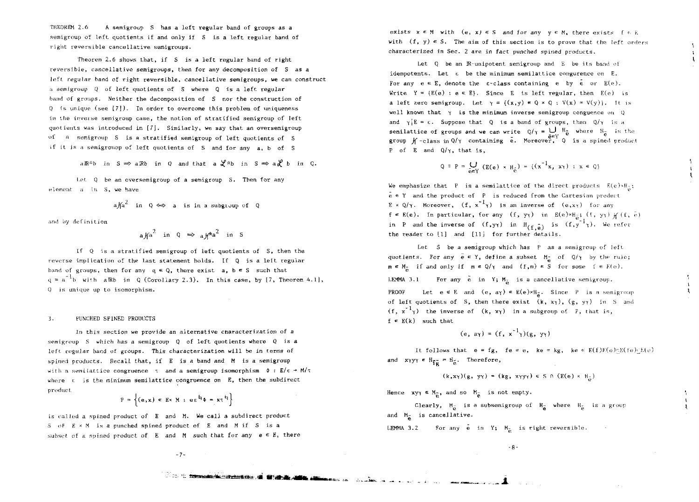THEOREM 2.6 A semigroup S has a left regular band of groups as a semigroup of left quotients if and only if S is a left regular band of right reversible cancellative semigroups.

Theorem 2.6 shows that, if S is a left regular band of right reversible, cancellative semigroups, then for any decomposition of S as a left regular band of right reversible, cancellative semigroups, we can construct a semigroup Q of left quotients of S where Q is a left regular" band of groups. Neither the decomposition of S nor the construction of Q is unique (see [7]). In order to overcome this problem of uniqueness in the inverse semigroup case, the notion of stratified semigroup of left quotients was introduced in [7]. Similarly, we say that an oversemigroup of a semigroup S is a stratified semigroup of left quotients of S if it is a semigrouop of left quotients of S and for any a, b of S

alR<sup>2</sup>b in S  $\Rightarrow$  alRb in Q and that a  $\frac{1}{6}$ <sup>2</sup>b in S  $\Rightarrow$  a $\frac{1}{6}$  b in Q.

l.pt Q be an oversemigroup of a semigroup S. Then for any element  $a$  in  $S$ , we have

$$
a \text{Ha}^2 \quad \text{in} \quad 0 \iff a \quad \text{is in a subgroup of} \quad Q
$$

and by definition

$$
a\int a^2 \text{ in } Q \implies a\int a^2 a^2 \text{ in } S
$$

If Q is a stratified semigroup of left quotients of S, then the reverse implication of the last statement holds. If Q is a left regular band of groups, then for any  $q \in Q$ , there exist a, b  $\epsilon$  S such that  $q = a^{-1}b$  with alRb in Q (Corollary 2.3). In this case, by [7, Theorem 4.1], Q is unique up to isomorphism.

#### **3 .** PUNCHED SP1MED PRODUCTS

semigro up S which has a semigroup Q of left quotients where Q is a left re gular band of groups. This characterization will be in terms of spined products. Recall that, if E is a band and M is a semigroup with a semilattice congruence  $\tau$  and a semigroup isomorphism  $\phi$  :  $\mathbb{E}/\varepsilon \to \mathsf{M}/\tau$ where  $\varepsilon$  is the minimum semilattice congruence on  $E$ , then the subdirect product. In this section we provide an alternative characterization of a

 $P = \{(e,x) \in E \times M : e \epsilon^{\frac{1}{2}} \phi = x \tau^{\frac{1}{2}} \}$ 

is call ed a spined product of E and H. We call a subdirect product S of  $E \times M$  is a punched spined product of E and M if S is a subset of a spined product of  $E$  and  $M$  such that for any  $e \in E$ , there

exists  $x \in M$  with  $(e, x) \in S$  and for any  $y \in M$ , there exists  $f \in K$ with  $(f, y) \in S$ . The aim of this section is to prove that the left orders characterized in Sec. 2 are in fact punched spined products.

Let Q be an IR-unipotent semigroup and E be its band of idempotents. Let  $\epsilon$  be the minimum semilattice congurence on E. For any  $e \in \mathbb{E}$ , denote the  $\varepsilon$ -class containing e by  $\tilde{e}$  or  $E(e)$ . Write  $Y = {E(e) : e \in E}$ . Since E is left regular, then  $E(e)$  is a left zero semigroup. Let  $\gamma = \{(x,y) \in Q \times Q : V(x) = V(y)\}\$ . It is well known that  $\gamma$  is the minimum inverse semigroup conguence on  $Q$ and  $\gamma$ [E =  $\varepsilon$ . Suppose that Q is a band of groups, then  $Q/\gamma$  is a semilattice of groups and we can write  $Q/\chi = \bigcup_{n=1}^{\infty} H_n^{\#}$  where  $H_0$  is the group  $H$ -class in  $0/\gamma$  containing e. Moreover,  $\beta$  is a spined product P of E and  $Q/\gamma$ , that is,

$$
Q = P = \bigcup_{e \in Y} (E(e) \times H_{e}) = \{(x^{-1}x, xy) : x \in Q\}
$$

We emphasize that P is a semilattice of the direct products  $E(e) \times H_{\mathbb{R}}$ ;  $\bar{e}$  e Y and the product of  $P$  is reduced from the Cartesian product E  $\times$  Q/ $\gamma$ . Moreover,  $(f, x^{-1}\gamma)$  is an inverse of  $(e, x\gamma)$  for any  $f \in E(e)$ . In particular, for any  $(f, y\gamma)$  in  $E(e) \times H_{\alpha}^{\perp}$ ;  $(f, y\gamma) \nmid f(f, \bar{e})$ in P and the inverse of  $(f, y\gamma)$  in  $H_{(\bar{f}, \bar{e})}$  is  $(f, y^{-1}\gamma)$ . We refer the reader to [1] and [11) for further details.

Let S be a semigroup which has P as a semigroup of left quotients. For any  $\bar{e} \in Y$ , define a subset  $M_{\bar{e}}$  of  $Q/\gamma$  by the rule;  $m \in M_{\alpha}$  if and only if  $m \in Q/\gamma$  and  $(f,m) \in S$  for some  $f \in E(e)$ . LEMMA 3.1 For any e in Y;  $M_{\tilde{\rho}}$  is a cancellative semigroup. PROOF Let e  $\epsilon$  E and  $(e, a\gamma) \in E(e) \times H_{\alpha}$ . Since P is a semigroup of left quotients of S, then there exist  $(k, xy)$ ,  $(g, yy)$  in S and  $(f, x^{-1}y)$  the inverse of  $(k, xy)$  in a subgroup of P, that is,  $f \in E(k)$  such that

(e, ay) = 
$$
(f, x^{-1}\gamma)(g, y\gamma)
$$

It follows that  $e = fg$ ,  $fe = e$ ,  $ke = kg$ ,  $ke \in E(f)E(e)E(fe)E(e)$ and  $xyyy \in H_{\xi_0} = H_{\xi}$ . Therefore,

 $(k,xy)(g, yy) = (kg, xyy) \in S \cap (E(e) \times H_2)$ 

Hence  $xyy \in M_{\frac{1}{6}}$ , and so  $M_{\frac{1}{6}}$  is not empty.

Clearly,  $M_{\tilde{G}}$  is a subsemigroup of  $H_{\tilde{G}}$  where.  $H_{\tilde{G}}$  is a group and M<sub>e</sub> is cancellative.

 $-8-$ 

LEMMA 3.2 For any  $\bar{e}$  in Y;  $M_{\tilde{a}}$  is right reversible.

-7-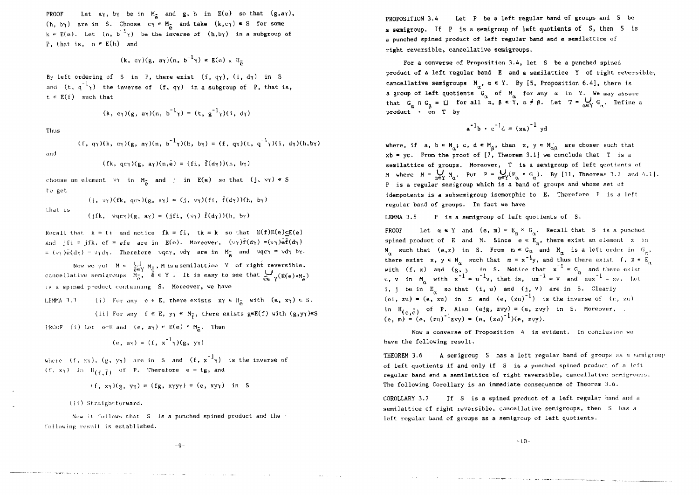PROOF Let  $ay_1$ , by be in  $M_{\frac{1}{p}}$  and  $g_1$ , h in  $E(e)$  so that  $(g, ay)$ , (h, by) are in S. Choose  $c\overline{Y} \in M_{\overline{A}}$  and take  $(k, c\overline{Y}) \in S$  for some  $k \in E(e)$ . Let  $(n, b^{-1}\gamma)$  be the inverse of  $(h, b\gamma)$  in a subgroup of P, that is,  $n \in E(h)$  and

$$
(k, c\gamma)(g, a\gamma)(n, b^{-1}\gamma) \in E(e) \times H_{\overline{n}}
$$

By left ordering of S in P, there exist  $(f, qy)$ ,  $(i, dy)$  in S and  $(t, q^{-1}t)$  the inverse of  $(f, qt)$  in a subgroup of P, that is,  $t \in E(f)$  such that

$$
(k, c_{\gamma})(g, a_{\gamma})(n, b^{-1}\gamma) = (t, g^{-1}\gamma)(i, d_{\gamma})
$$

Thus

and

(f, qy)(k, cy)(g, ay)(n, b<sup>-1</sup>y)(h, by) = (f, qy)(t, q<sup>-1</sup>y)(i, dy)(h,by)

$$
(fk, qc\gamma)(g, a\gamma)(n,e) = (fi, f(d\gamma))(h, b\gamma)
$$

choose an element  $\nu\gamma$  in  $M_{\alpha}$  and j in  $E(e)$  so that (j,  $\nu\gamma) \in S$ to get

 $(j, \forall \gamma)(fk, \varphi c\gamma)(g, \varphi\gamma) = (j, \forall \gamma)(fi, \ f(d\gamma))(h, \ b\gamma)$ 

that is

(jfk, vqcy)(g, ay) = (jfi, (vy)  $\bar{f}(dy)$ )(h, by)

Recall that,  $k = ti$  and notice  $fk = fi$ ,  $tk = k$  so that  $E(f)E(e) \subset E(e)$ and jfi = jfk, ef = efe are in E(e). Moreover,  $(v\gamma)\hat{f}(d\gamma) = (v\gamma)e\hat{f}(d\gamma)$  $= (\nu_1) \bar{e}(d\gamma) = \nu_1 d\gamma$ . Therefore  $\nu q c\gamma$ ,  $\nu d\gamma$  are in  $M_2$  and  $\nu q c\gamma = \nu d\gamma$  by.

Now we put  $M = \bigcup_{e \in Y} M_e$ , M is a semilattice Y of right reversible,<br>cancellative semigroups  $M_{\overline{e}}$ ,  $\overline{e} \in Y$ . It is easy to see that  $\bigcup_{e \in Y} (g(e) \times M_{\overline{e}})$ is a spined product containing S. Moreover, we have

LEMMA 3.3 (i) For any  $e \in E$ , there exists  $xy \in H_{\frac{1}{2}}$  with  $(e, xy) \in S$ .

(ii) For any f  $\in$  E, yy  $\in$  M<sub>i</sub>, there exists g $\in$ E(f) with (g,yy)ES

**PROOF** (i) Let  $e \in E$  and (e, ay)  $\in E(e) \times M_{\overline{a}}$ . Then

(e, ay) = 
$$
(f, x^{-1}\gamma)(g, y\gamma)
$$

where (f, xy), (g, yy) are in S and  $(f, x^{-1}y)$  is the inverse of (f, x<sub>i</sub>) in  $\mathbb{F}_{(f,\bar{f})}$  of P. Therefore e = fg, and

 $(f, xy)(g, yy) = (fg, xyy) = (e, xy)$  in S

### (ii) Straightforward.

Now it follows that S is a punched spined product and the following result is established.

PROPOSITION 3.A Let P be a left regular band of groups and S be a semigroup. If  $P$  is a semigroup of left quotients of  $S$ , then  $S$  is a punched spined product of left regular band and a semilattice of right reversible, cancellative semigroups.

For a converse of Proposition 3.A, let S be a punched spined product of a left regular band E and a semilattice Y of right reversible, cancellative semigroups  $M_{\alpha}$ ,  $\alpha \in Y$ . By [5, Proposition 6.4], there is a group of left quotients G, of M, for any  $\alpha$  in Y. We may assume that  $G_{\alpha} \cap G_{\beta} = \Box$  for all  $\alpha$ ,  $\beta \in \Upsilon$ ,  $\alpha \neq \beta$ . Let  $T = \bigcup_{\alpha \in \Upsilon} G_{\alpha}$ . Define a product • on T by

$$
a^{-1}b + c^{-1}d = (xa)^{-1}yd
$$

where, if a,  $b \in M_{\alpha}$ ; c,  $d \in M_{\beta}$ , then  $x, y \in M_{\alpha\beta}$  are chosen such that  $xb = yc$ . From the proof of  $[7]$ , Theorem 3.1] we conclude that T is a semilattice of groups. Moreover, T is a semigroup of left quotients of M where  $M = \bigcup_{\alpha \in V} M_{\alpha}$ , Put  $P = \bigcup_{\alpha \in V} (E_{\alpha} \times G_{\alpha})$ . By [11, Theorems 3.2 and 4.1]. P is a regular semigroup which is a band of groups and whose set. of idempotents is a subsemigroup isomorphic to E. Therefore P is a left regular band of groups. In fact we have

LEMMA 3.5 P is a semigroup of left quotients of S.

PROOF Let  $\alpha \in Y$  and  $(e, m) \in E_{\alpha} \times G_{\alpha}$ . Recall that S is a punched spined product of E and M. Since  $e \in \mathbb{E}_{n}$ , there exist an element z in  $M_\alpha$  such that (e,z) in S. From  $m \in G_\alpha$  and  $M_\alpha$  is a left order in  $G_\alpha,$ there exist x,  $y \in M_{\alpha}$  such that  $m = x^{-1}y$ , and thus there exist, f,  $g \in E_{\alpha}$ with (f, x) and (g,  $\frac{1}{2}$  in S. Notice that  $x = u_{\alpha}$  and there exist<br>u, v in M with  $x^{-1} = u^{-1}v$ , that is,  $ux^{-1} = v$  and  $zux^{-1} = zv$ . Let i, j be in  $E_n$  so that (i, u) and (j, v) are in S. Clearly (ei, zu) = (e, zu) in S and (e,  $(zu)^{-1}$ ) is the inverse of (e, zu) in  $H_{\ell_0, \pi_1}$  of P. Also (ejg, zvy) = (e, zvy) in S. Moreover, (e, m) = (e, (zu) 'zvy) = (e, (zu) ')(e, zvy).

Now a converse of Proposition  $4$  is evident. In conclusion we have the following result,

THEOREM 3.6  $\blacksquare$  A semigroup S has a left regular band of groups as a semigroup of left quotients if and only if  $S$  is a punched spined product of a left. regular band and a semilattice of right reversible, cancellative semigroups. The following Corollary is an immediate consequence of Theorem 3.6.

COROLLARY  $3.7$  If S is a spined product of a left regular band and a semilattice of right reversible, cancellative semigroups, then S has a left regular band of groups as a semigroup of left quotients.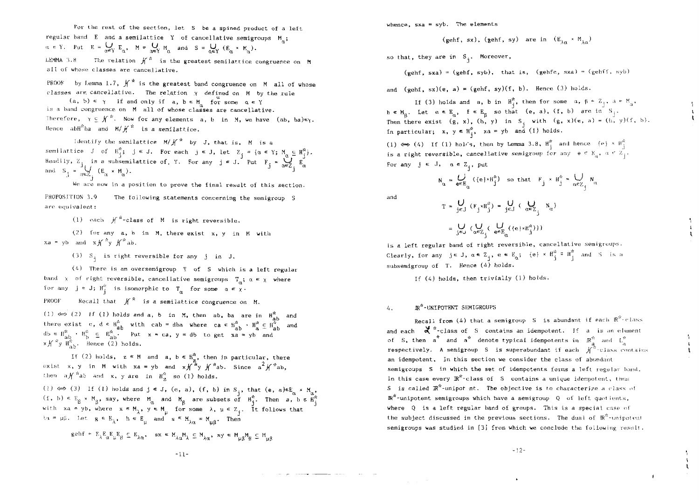For the rest of the section, let S be a spined product of a left regular band E and a semilattice Y of cancellative semigroups M<sub>1</sub>;  $\alpha \in Y$ . Put  $E = \bigcup_{\alpha \in Y} E_{\alpha}$ ,  $M = \bigcup_{\alpha \in Y} M_{\alpha}$  and  $S = \bigcup_{\alpha \in Y} (E_{\alpha} \times M_{\alpha})$ .

LEMMA 3.8 The relation  $K^*$  is the greatest semilattice congruence on  $\mathbf M$ all of whose classes are cancellative.

PROOF by Lemma 1.7,  $\mathcal{H}$  is the greatest band congruence on M all of whose classes are cancellative. The relation  $\chi$  defined on M by the rule

(a, b)  $\epsilon$   $\gamma$  -it and only if a,  $b \in M$  for some  $a \in Y$ is a band congruence on M all of whose classes are cancellative. Therefore,  $\gamma \subseteq \mathcal{H}^k$ . Now for any elements a, b in M, we have (ab, ba) $\epsilon_\gamma$ . Hence  $abH^kba$  and  $M/H^k$  is a semilattice.

Identify the semilattice  $M/f^*$  by J, that is, M is a semilattice  $\mathbb J$  of  $\mathrm H^{\kappa}_4$ ; je J. For each je J, let  $\mathrm Z_z$  = { $\alpha\in\mathrm Y$ ; M  $\subset\mathrm H^{\kappa}_1$ }, Meadily,  $Z_j$  is a subsemilattice of. Y. For any  $j \in J$ . Put  $F_j = \frac{1}{\alpha \epsilon Z_j} E_\alpha$ <br>and  $S_j = \frac{1}{\alpha \epsilon Z_j} (E_\alpha \times M_\alpha)$ .

We are now in a position to prove the final result of this section. PROPOSITION 3.9 The following statements concerning the semigroup S are equivalent:

(1) each  $\oint$ <sup>2</sup>-class of M is right reversible.

(2) for any a, b in M, there exist x, y in M with  $xa = yb$  and  $x \#^x y \#^x ab$ .

(3)  $S_4$  is right reversible for any j in J.

 $(4)$  There is an oversemigroup T of S which is a left regular band  $x$  of right reversible, cancellative semigroups  $T_{\alpha}$ ;  $\alpha \in x$  where for any  $j \in J$ ;  $H_i^k$  is isomorphic to  $T_{\alpha}$  for some  $\alpha \in \overline{\chi}$ .

PROOF Recall that  $f^*$  is a semilattice congruence on M.

(1)  $\Leftrightarrow$  (2) If (1) holds and a, b in M, then ab, ba are in H<br>there exist c, d  $\in$  H<sup>\*</sup> with cab = dba where ca  $\in$  H<sup>\*</sup><sub>a</sub>  $\leq$  H<sup>\*</sup><sub>a</sub>  $\leq$  H<sup>\*</sup><sub>a</sub> n<br>ab <sup>and</sup>  $\alpha$ b  $\in$   $H_{ab}^*$   $\cdot$   $H_b^*$   $\in$   $H_{ab}^*$   $\cdot$  Put<br> $\alpha$   $K^*$   $\alpha$   $H_{ab}^*$   $\cdot$  Hence (2) holds. ca, y = db to get xa = yb and  $H_{\underline{a}}^{\prime\prime} \subseteq H_{ab}^{\prime\prime}$  and

If (2) holds,  $z \in M$  and  $a, b \in H^n_+$ , then in particular, there exist x, y in M with xa = yb and  $xf''y$   $f''ab$ . Since  $a^2f''ab$ , then  $i\pi/\sqrt{m}$  ab and x, y are in  $H_{\alpha}^{*}$  so (1) holds.

 ${1}$   $\Leftrightarrow$  (3) If (1) holds and j  $\in$  J, (e, a), (f, b) in S<sub>i</sub>, that (e, a) $\in$ E<sub>a</sub> \* M<sub>a</sub>,  $(f, b) \in E_g \times M_g$ , say, where  $M_g$  and  $M_g$  are subsets of  $H_f^*$ . Then a, b e.  $H_i^*$ . with xa = yb, where  $x \in M_{\lambda}$ ,  $y \in M_{\mu}$  for some  $\lambda$ ,  $\mu \in Z_{\lambda}$ . It follows that  $\lambda \alpha = \mu \beta$ . Let  $g \in E_{\lambda}$ ,  $h \in E_{\mu}$  and  $s \in M_{\lambda \alpha} = M_{\mu \alpha}$ . Then

$$
gghf \in E_{\lambda}E_{\alpha}E_{\mu}E_{\beta} \subseteq E_{\lambda\alpha}, \quad sx \in M_{\lambda\alpha}M_{\lambda} \subseteq M_{\lambda\alpha}, \text{ sy } \in M_{\mu\beta}M_{\beta} \subseteq M_{\mu\beta}
$$

whence, sxa = syb. The elements

(gehf, sx), (gehf, sy) are in  $(E_{\lambda\alpha} \times M_{\lambda\alpha})$ 

so that, they are in  $S_i$ . Moreover,

(gehf,  $sxa$ ) = (gehf,  $syb$ ), that is, (gehfe, sxa) = (gehff, syb)

and  $(gehf, sx)(e, a) = (gehf, sy)(f, b)$ . Hence (3) holds.

If (3) holds and a, b in  $H_{\frac{1}{4}}^*$ , then for some  $\alpha$ ,  $\beta \in \mathbb{Z}_{\frac{1}{2}}$ ,  $a \in M_{\alpha}$ ,  $b \in M_n$ . Let  $e \in E_n$ ,  $f \in E_p$  so that  $(e, a)$ ,  $(f, b)$  are in  $S_i$ . Then there exist (g, x), (h, y) in S, with (g, x)(e, a) = (h, y)(f, b). In particular;  $x, y \in H_1^k$ ,  $xa = yb$  and (1) holds.

(1)  $\Leftrightarrow$  (4) If (1) holds, then by Lemma 3.8,  $H_i^*$  and hence  $\{e\} \times H_i^*$ . is a right reversible, cancellative semigroup for any  $e \in E_{\alpha}$ ,  $a \in \mathbb{Z}_{+}^{\cdot}$ . For any  $j \in J$ ,  $\alpha \in Z_4$ , put

$$
I_{\alpha} = \bigcup_{e \in E_{\alpha}} (\{e\} \times H_{j}^{*}) \text{ so that } F_{j} \times H_{j}^{*} = \bigcup_{\alpha \in Z_{j}} N_{\alpha}
$$

and

منادر والمتوارد والمتحدث للمستشهد لهميتك والمرادين

$$
= \bigcup_{j \in J} \big(\bigcup_{\alpha \in \mathbb{Z}_j} \big(\bigcup_{e \in E_{\alpha}} (\{e\} \times B^x_j)\big)\big)
$$

 $T = \bigcup_{j \in J} (F_j x H_j^k) = \bigcup_{j \in J} (U_j U_{\alpha \in Z_j} X_{\alpha})$ 

is a left regular band of right reversible, cancellative semigroups. Clearly, for any  $j \in J$ ,  $\alpha \in Z_{j}$ ,  $e \in E_{\alpha}$ ;  $\{e\} \times H_{i}^{2} = H_{i}^{2}$  and S is a subsemigroup of T. Hence  $(4)$  holds.

If (4) holds, then trivially (1) holds.

### 4. R<sup>\*</sup>-UNIPOTENT SEMIGROUPS

Recall from  $(4)$  that a semigroup S is abundant if each  $\mathbb{R}^{\mathbb{R}}$ -class and each  $\mathcal{A}^*$ -class of S contains an idempotent. If a is an element of S, then  $a^+$  and  $a^*$  denote typical idempotents in  $\mathbb{R}^*$  and  $\mathbb{L}^*$ respectively. A semigroup S is superabundant if each  $\overrightarrow{H}^*$ -class contains. an idempotent. In this section we consider the class of abundant semigroups S in which the set of idempotents forms a left regular band In this case every  $\mathbb{R}^k$ -class of  $\,$  S  $\,$  contains a unique idempotent, thus  $S$  is called  $\hbox{I\hspace{-2.2mm}R}^n$ -unipot nt. The objective is to characterize a class of IR<sup>\*</sup>-unipotent semigroups which have a semigroup Q of left quotients, where Q is a left regular band of groups. This is a special case of the subject discussed in the previous sections. The dual of  $\mathbb{R}^n$ -unipotent semigroups was studied in [3] from which we conclude the following result .

-12-

 $\ddot{\mathbf{r}}$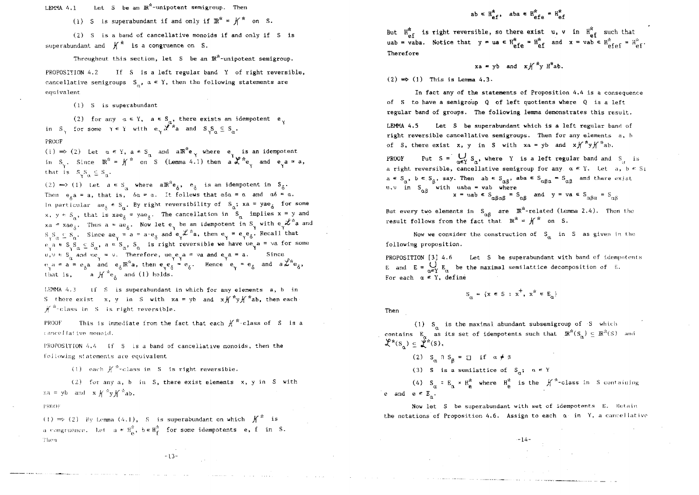LEMMA  $4.1$  Let S be an  $\mathbb{R}^3$ -unipotent semigroup. Then

(1) S is superabundant if and only if  $\mathbb{R}^k = \nmid f^*$  on S.

(2) S is a band of cancellative monoids if and only if S is superabundant and  $K^*$  is a congruence on S.

Throughout this section, let S be an  $\mathbb{R}^n$ -unipotent semigroup.

PROPOSITION 4.2 If S is a left regular band Y of right reversible, cancellative semigroups  $S_{\alpha}$ ,  $\alpha \in Y$ , then the following statements are equivalent

(1) S is superabundant

(2) for any  $\alpha \in Y$ ,  $a \in S_{\alpha}$ , there exists an idempotent  $e_{\gamma}$ in S<sub>y</sub> for some  $\gamma \in Y$  with  $e_{\gamma} \chi^{R^*a}$  and  $S_{\gamma} S_{\alpha} \subseteq S_{\alpha}$ .

### PROOF

(i)  $\Rightarrow$  (2) Let  $\alpha \in Y$ ,  $a \in S$  and  $a \mathbb{R}^n$ e where e is an idempotent in S<sub>o</sub>. Since  $\mathbb{R}^n = \mathcal{N}^n$  on S (Lemma 4.1) then a  $\mathcal{K}^n$ e<sub>v</sub> and e<sub>v</sub>a: that is  $S_{\mathbf{y}}S_{\alpha} \subseteq S_{\alpha}$ .

(2)  $\Rightarrow$  (1) Let  $a \in S_{\alpha}$  where  $a \mathbb{R}^3 e_{\lambda}$ ,  $e_{\lambda}$  is an idempotent in  $S_{\lambda}$ . Then  $e_1a = a$ , that is,  $\delta a = a$ . It follows that  $\alpha \delta a = a$  and  $a\delta = a$ . In particular  $ae_x \in S_x$ . By right reversibility of  $S_{\alpha}$ ; xa = yae<sub>8</sub> for some x,  $y \in S_{\alpha}$ , that is  $xae_{\delta} = yae_{\delta}$ . The cancellation in  $S_{\alpha}$  implies  $x = y$  and  $xa = xa e<sub>g</sub>$ . Thus  $a = ae<sub>g</sub>$ . Now let  $e<sub>v</sub>$  be an idempotent in S<sub>v</sub> with  $e<sub>v</sub>$   $x<sup>2</sup>$  a and  $S_{\varphi} S_{\varphi} \subseteq S_{\alpha}$ . Since ae, = a = a-e<sub>δ</sub> and e<sub>y</sub>  $\chi^2$  a, then e<sub>y</sub> = e<sub>y</sub>e<sub>δ</sub>. Recall that yci- n f *\$ y* \ Y \* p a e s S *<-• S ,* a E S , S is right reversibl e vie have ue a = va for some  $\begin{array}{l} \n\text{where } \mathbf{S}_{\alpha} \text{ and } \mathbf{u} = \mathbf{v} \text{ and } \mathbf{v} = \mathbf{v} \text{ and } \mathbf{v} = \mathbf{v} \text{ and } \mathbf{v} = \mathbf{v} \text{ and } \mathbf{v} = \mathbf{v} \text{ and } \mathbf{v} = \mathbf{v} \text{ and } \mathbf{v} = \mathbf{v} \text{ and } \mathbf{v} = \mathbf{v} \text{ and } \mathbf{v} = \mathbf{v} \text{ and } \mathbf{v} = \mathbf{v} \text{ and } \mathbf{v} = \mathbf{v$ that is,  $A = A \int_{0}^{\infty} e_{\lambda}$  and (1) holds.

 $LEMMA 4.3$  If S is superabundant in which for any elements a, b in S there exist x, y in S with xa = yb and  $x \frac{f}{f} \sqrt{x}$  ab, then each )( "-class In S is right reversible.

PROOF This is immediate from the fact that each  $f^{*}$ -class of S is a cancellative monoid.

PROPOSITION  $4.4$  If S is a band of cancellative monoids, then the following statements are equivalent

(1) each  $\oint_1^{\infty}$ -class in S is right reversible.

(2) for any  $a$ ,  $b$  in S, there exist elements  $x$ , y in S with  $\bar{x}a = yb$  and  $\bar{x} \not\in \sqrt[x]{y} \not\in \sqrt[x]{ab}$ .

PROOF

(1)  $\Rightarrow$  (2) By Lemma (4.1), S is superabundant on which  $f''$  is a congruence. Let  $a \in H^k$ ,  $b \in H^k$  for some idempotents e, f in S. Then

$$
ab \in H_{ef}^{\star}, \quad aba \in H_{efe}^{\star} = H_{ef}^{\star}
$$

But  $H_{\alpha,\epsilon}^*$  is right reversible, so there exist u, v in  $H_{\alpha,\epsilon}^*$  such that uab = vaba. Notice that  $y = ua \in H_{\alpha fa}^* = H_{\alpha}^*$  and  $x = vab \in H_{\alpha fa}^* = H_{\alpha}^*$ . Therefore

 $xa = vb$  and  $x h'^*v H''ab$ .

 $(2) \Rightarrow (1)$  This is Lemma 4.3.

In fact any of the statements of Proposition 4.4 is a consequence of S to have a semigroup Q of left quotients where Q is a left regular band of groups. The following lemma demonstrates this result.

LEMMA 4.5 Let S be superabundant which is a left regular band of right reversible cancellative semigroups. Then for any elements a, b of S, there exist x, y in S with  $xa = yb$  and  $x \frac{f}{f} \left(x + \frac{b}{x}\right)$ .

PROOF Put  $S = \bigcup_{n \in \mathbb{N}} S_n$ , where Y is a left regular band and S<sub>s</sub> is a right reversible, cancellative semigroup for any  $\alpha \in Y$ , Let a,  $b \in S$ ;  $a \in S_\alpha$ ,  $b \in S_\beta$ , say. Then  $ab \in S_{\alpha\beta}$ , aba  $\epsilon S_{\alpha\beta\alpha} = S_{\alpha\beta}$  and there exist u,  $\frac{1}{2}$  with uaba = vab where<br>  $x = uab \in S_{nR \cap R} = S_{nR}$  and  $y = va \in S_{nR \cap R} = S_{nR}$ 

But every two elements in  $S_{\alpha\beta}$  are  $I\!R^*$ -related (Lemma 2.4). Then the<br>result follows from the fact that  $I\!R^* = \oiint^s$  on S.

Now we consider the construction of  $S_{\alpha}$  in S as given in the following proposition.

PROPOSITION [3] 4.6 Let S be superabundant with band of idempotents. E and  $E = \bigcup_{n \in V} E_n$  be the maximal semilattice decomposition of 19 For each  $\alpha \in Y$ , define

$$
S_{\alpha} = \{x \in S : x^+, x^k \in E_{\alpha}\}\
$$

Then

(1) S<sub> $\alpha$ </sub> is the maximal abundant subsemigroup of S which contains  $E_n$  as its set of idempotents such that  $\mathbb{R}^n(S_n) \subseteq \mathbb{R}^n(S)$  and  $\mathcal{L}^*(s) \subseteq \mathcal{L}^*(s)$ ,

(2)  $S_{\alpha} \cap S_{\beta} = \square$  if  $\alpha \neq \beta$ 

(3) S is a semilattice of  $S_{\alpha}$ ;  $\alpha \in Y$ 

(4)  $S_n = E_n \times H_n^*$  where  $H_n^*$  is the  $\oint_1^n$ -class in S containing e and e  $\epsilon$  E<sub>2</sub>.

Now let S be superabundant with set of idempotents E. Retain the notations of Proposition 4.6. Assign to each  $\alpha$  in Y, a cancellative

-14-

-13-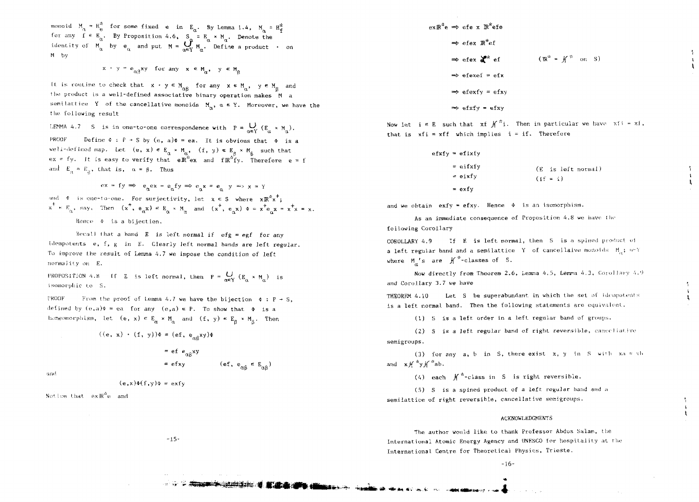monoid  $M_{\alpha} = H_e^2$  for some fixed e in E<sub>a</sub>. By Lemma 1.4,  $M_{\alpha} \approx H_f^2$ for any  $f \in E_{\alpha}$ . By Proposition 4.6,  $S_{\alpha} = E_{\alpha} \times M_{\alpha}$ . Denote the identity of  $M_{\alpha}$  by  $e_{\alpha}$  and put  $M = \bigcup_{\alpha \in V} M_{\alpha}$ . Define a product H by

 $x + y = e_{\alpha\beta}xy$  for any  $x \in M_{\alpha}$ ,  $y \in M_{\alpha}$ 

It is routine to check that  $x \cdot y \in M_{\alpha\beta}$  for any  $x \in M_{\alpha}$ ,  $y \in M_{\beta}$  and the product is a well-defined associative binary operation makes M a semilattice Y of the cancellative monoids  $M_{\alpha}$ ,  $\alpha \in Y$ . Moreover, we have the the. following result

LEMMA 4.7 S is in one-to-one correspondence with  $P = \bigcup_{n \in \mathcal{N}} (E_n * M_n)$ . Define  $\Phi$  :  $P$  + S by (e, a) $\Phi$  = ea. It is obvious that  $\Phi$  is a PROOF well-defined map. Let  $(e, x) \in E_{\alpha} \times M_{\alpha}$ ,  $(f, y) \in E_{\beta} \times M_{\beta}$  such that  $\alpha$   $\alpha$   $\alpha$   $\alpha$   $\alpha$   $\beta$   $\beta$  ach that  $\beta$  **E-**  $\beta$   $\beta$   $\beta$  ach that  $\beta$ **E-**  $\alpha$  **CH**<sup> $\alpha$ </sup>**p**  $\beta$  **Cherefore**  $\beta$ and  $E_{\alpha} = E_{\beta}$ , that is,  $\alpha = \beta$ . Thus

$$
ex = fy \implies e_{\alpha}ex = e_{\alpha}fy \implies e_{\alpha}x = e_{\alpha} \quad y \implies x = y
$$

is one-to-one. For surjectivity, let  $x \in S$  where  $x \mathbb{R}^2 x^+,$  $x^+ \in E_\alpha$ , say, Then  $(x^+, e_\alpha x) \in E_\alpha \times M_\alpha$  and  $(x^+, e_\alpha x) \phi = x^+e_\alpha x = x^+x = x$ .

Hence  $\phi$  is a bijection.

Recall that a band E is left normal if  $efg = egf$  for any idempotents e, f, g in E. Clearly left normal bands are left regular. To improve the result of Lemma 4.7 we impose the condition of left norma Ht: y on E.

PROPOSITION 4.8 (f E is left normal, then  $P = \frac{U}{\alpha \epsilon Y} (E_{\alpha} \times M_{\alpha})$  is isomorphic to S.

PROOF From the proof of Lemma 4.7 we have the bijection  $\phi : P \rightarrow S$ , defined by  $(e, a)$  = ea for any  $(e, a) \in P$ . To show that  $\phi$  is a homeomorphism, let (e, x)  $\in$  E<sub>a</sub> x M<sub>a</sub> and (f, y)  $\in$  E<sub>a</sub> x M<sub>a</sub>. Then

$$
((e, x) \cdot (f, y))\phi = (ef, e_{\alpha\beta}xy)\phi
$$
  
= ef e\_{\alpha\beta}xy  
= efxy (ef, e\_{\alpha\beta} \in E\_{\alpha\beta})

and

$$
(\mathbf{e}, \mathbf{x}) \Phi(\mathbf{f}, \mathbf{y}) \Phi = \mathbf{e} \mathbf{x} \mathbf{f} \mathbf{y}
$$

ice that  $ex\mathbb{R}^n$ e and

-15-

| exℝ <sup>x</sup> e ⇒ efe x ℝ <sup>x</sup> efe |                                       |  |
|-----------------------------------------------|---------------------------------------|--|
| $\Rightarrow$ efex $\mathbb{R}^n$ ef          |                                       |  |
| $\Rightarrow$ efex $\mathbf{d}^*$ ef          | $(\mathbb{R}^2 = \mathcal{H}^*$ on S) |  |
| ⇒ efexef = efx                                |                                       |  |
| $\Rightarrow$ efexty = efxy                   |                                       |  |
| ⇒ efxfy = efxy                                |                                       |  |

Now let i e E such that xf  $f^{*}$ i. Then in particular we have xfi = xi, that is  $xfi = xff$  which implies  $i = if$ . Therefore

| $efxfy = efixfy$ |                     |
|------------------|---------------------|
| = eifxfy         | (E) is left normal) |
| $=$ eixfy        | $(ff = i)$          |
| $=$ exfy         |                     |

and we obtain  $exfy = efxy$ . Hence  $\phi$  is an isomorphism.

As an immediate consequence of Proposition 4.8 we have the following Corollary

COROLLARY 4.9 If E is left normal, then S is a spined product ui a left regular band and a semilattice Y of cancellaive monoids  $M_{\alpha}$ ; u-Y where  $M_s$ 's are  $\oint_1^{\pi}$ -classes of S.

Now directly from Theorem 2.6, Lemma 4.5, Lemma 4.3, Corollary 4.9 and Corollary 3.7 we have

THEORFM  $4.10$  Let S be superabundant in which the set of idempotents is a left normal band. Then the following statements are equivalent.

(1) S is a left order in a left regular band of groups.

(2) S is a left regular band of right reversible, cancellative semigroups,

(3) for any  $a, b$  in S, there exist x, y in S with  $xa = vb$ and  $x \#^* y \#^* ab$ .

(4) each  $\int_1^{\pi}$ -class in S is right reversible.

 $(5)$  S is a spined product of a left regular band and a semilattice of right reversible, cancellative semigroups.

### ACKNOWLEDGMENTS

The author would like to thank Professor Abdus Salam, the International Atomic Energy Agency and UNESCO for hospitality at the International Centre for Theoretical Physics, Trieste.

-16-

in the community of the second contract of the community of the community of the community of the community of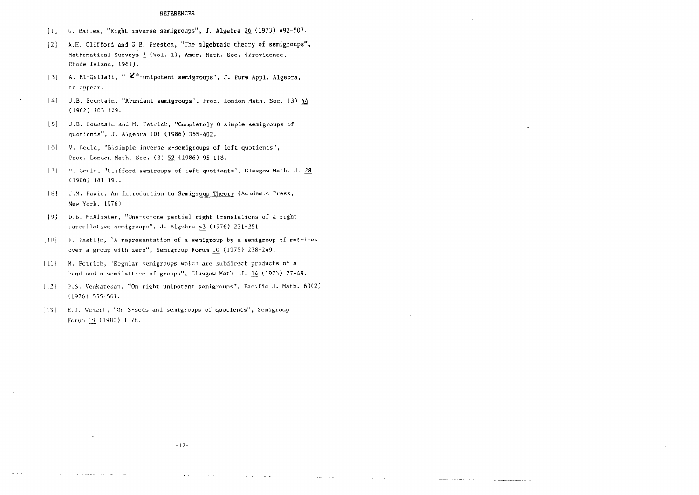### **REFERENCES**

- [1] G. Bailes, "Right inverse semigroups", J. Algebra 26 (1973) 492-507.
- [2] A.H. Clifford and G.B. Preston, "The algebraic theory of semigroups", Mathematical Surveys 7 (Vol. 1), Amer. Math. Soc. (Providence, Rhode Island, 1961).
- |3| A. El-Qallali, "  $\mathbb{X}^*$ -unipotent semigroups", J. Pure Appl. Algebra, to appear.
- |4| J.B. Fountain, "Abundant semigroups", Proc. London Math. Soc. (3) 44 (1982) 103-129.
- [5] J.B. Fountain and M. Petrich, "Completely O-simple semigroups of quotients", J. Algebra 101 (1986) 365-402.
- [6] V. Gould, "Bisimple inverse w-semigroups of left quotients", Proc. London Math. Soc. (3) 52 (1986) 95-118.
- [7| V, Gould, "Clifford semiroups of left quotients", Glasgow Math. J. 2Q  $(1986)$   $181-191$ .
- 18] J.M. Howie, An Introduction to Semigroup Theory (Academic Press, New York, 1976).
- \9\ D.B. McAlister, "One-to-one partial right translations of A right cancellative semigroups", J. Algebra 43 (1976) 231-251.
- | $10$ ] F. Pastijn, "A representation of a semigroup by a semigroup of matrices over a group with zero", Semigroup Forum IQ (1975) 238^249.
- I 11 I M. Petrich, "Regular semigroups which are subdirect products of a band and a semilattice of groups", Glasgow Math. J. 14 (1973) 27-49.
- [12] P.S. Venkatesan, "On right unipotent semigroups", Pacific J. Math. 63(2) (iy?6) 555-561.
- [13] H.J. Wenert, "On S-sets and semigroups of quotients", Semigroup Forum 19 (1980) 1-78.

-17-